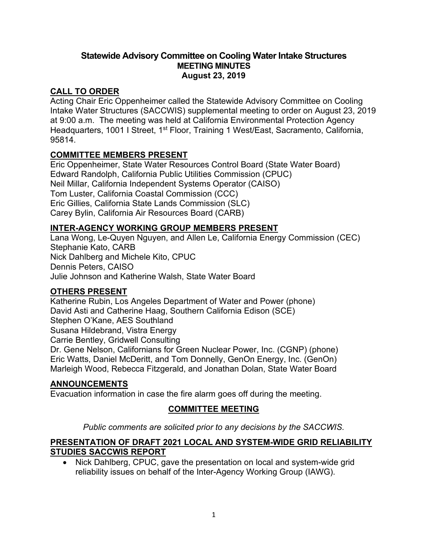#### **Statewide Advisory Committee on Cooling Water Intake Structures MEETING MINUTES August 23, 2019**

### **CALL TO ORDER**

Acting Chair Eric Oppenheimer called the Statewide Advisory Committee on Cooling Intake Water Structures (SACCWIS) supplemental meeting to order on August 23, 2019 at 9:00 a.m. The meeting was held at California Environmental Protection Agency Headquarters, 1001 I Street, 1<sup>st</sup> Floor, Training 1 West/East, Sacramento, California, 95814.

## **COMMITTEE MEMBERS PRESENT**

Eric Oppenheimer, State Water Resources Control Board (State Water Board) Edward Randolph, California Public Utilities Commission (CPUC) Neil Millar, California Independent Systems Operator (CAISO) Tom Luster, California Coastal Commission (CCC) Eric Gillies, California State Lands Commission (SLC) Carey Bylin, California Air Resources Board (CARB)

## **INTER-AGENCY WORKING GROUP MEMBERS PRESENT**

Lana Wong, Le-Quyen Nguyen, and Allen Le, California Energy Commission (CEC) Stephanie Kato, CARB Nick Dahlberg and Michele Kito, CPUC Dennis Peters, CAISO Julie Johnson and Katherine Walsh, State Water Board

### **OTHERS PRESENT**

Katherine Rubin, Los Angeles Department of Water and Power (phone) David Asti and Catherine Haag, Southern California Edison (SCE) Stephen O'Kane, AES Southland Susana Hildebrand, Vistra Energy Carrie Bentley, Gridwell Consulting Dr. Gene Nelson, Californians for Green Nuclear Power, Inc. (CGNP) (phone) Eric Watts, Daniel McDeritt, and Tom Donnelly, GenOn Energy, Inc. (GenOn)

Marleigh Wood, Rebecca Fitzgerald, and Jonathan Dolan, State Water Board

### **ANNOUNCEMENTS**

Evacuation information in case the fire alarm goes off during the meeting.

## **COMMITTEE MEETING**

*Public comments are solicited prior to any decisions by the SACCWIS.*

### **PRESENTATION OF DRAFT 2021 LOCAL AND SYSTEM-WIDE GRID RELIABILITY STUDIES SACCWIS REPORT**

· Nick Dahlberg, CPUC, gave the presentation on local and system-wide grid reliability issues on behalf of the Inter-Agency Working Group (IAWG).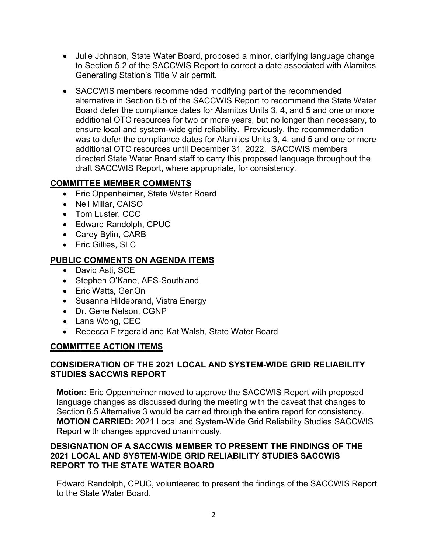- Julie Johnson, State Water Board, proposed a minor, clarifying language change to Section 5.2 of the SACCWIS Report to correct a date associated with Alamitos Generating Station's Title V air permit.
- SACCWIS members recommended modifying part of the recommended alternative in Section 6.5 of the SACCWIS Report to recommend the State Water Board defer the compliance dates for Alamitos Units 3, 4, and 5 and one or more additional OTC resources for two or more years, but no longer than necessary, to ensure local and system-wide grid reliability. Previously, the recommendation was to defer the compliance dates for Alamitos Units 3, 4, and 5 and one or more additional OTC resources until December 31, 2022. SACCWIS members directed State Water Board staff to carry this proposed language throughout the draft SACCWIS Report, where appropriate, for consistency.

### **COMMITTEE MEMBER COMMENTS**

- Eric Oppenheimer, State Water Board
- · Neil Millar, CAISO
- Tom Luster, CCC
- · Edward Randolph, CPUC
- Carey Bylin, CARB
- · Eric Gillies, SLC

### **PUBLIC COMMENTS ON AGENDA ITEMS**

- · David Asti, SCE
- Stephen O'Kane, AES-Southland
- Eric Watts, GenOn
- · Susanna Hildebrand, Vistra Energy
- · Dr. Gene Nelson, CGNP
- Lana Wong, CEC
- Rebecca Fitzgerald and Kat Walsh, State Water Board

#### **COMMITTEE ACTION ITEMS**

#### **CONSIDERATION OF THE 2021 LOCAL AND SYSTEM-WIDE GRID RELIABILITY STUDIES SACCWIS REPORT**

**Motion:** Eric Oppenheimer moved to approve the SACCWIS Report with proposed language changes as discussed during the meeting with the caveat that changes to Section 6.5 Alternative 3 would be carried through the entire report for consistency. **MOTION CARRIED:** 2021 Local and System-Wide Grid Reliability Studies SACCWIS Report with changes approved unanimously.

### **DESIGNATION OF A SACCWIS MEMBER TO PRESENT THE FINDINGS OF THE 2021 LOCAL AND SYSTEM-WIDE GRID RELIABILITY STUDIES SACCWIS REPORT TO THE STATE WATER BOARD**

Edward Randolph, CPUC, volunteered to present the findings of the SACCWIS Report to the State Water Board.